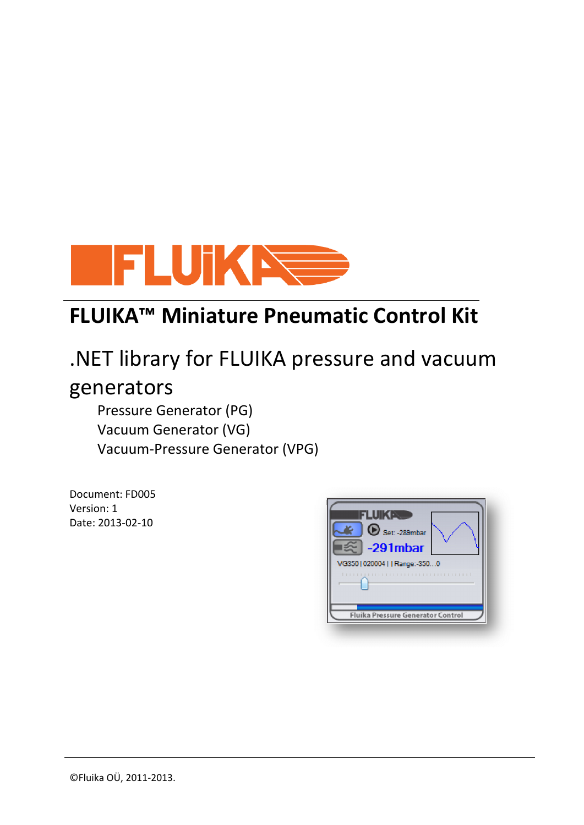

## **FLUIKA™ Miniature Pneumatic Control Kit**

# .NET library for FLUIKA pressure and vacuum generators

Pressure Generator (PG) Vacuum Generator (VG) Vacuum-Pressure Generator (VPG)

Document: FD005 Version: 1 Date: 2013-02-10

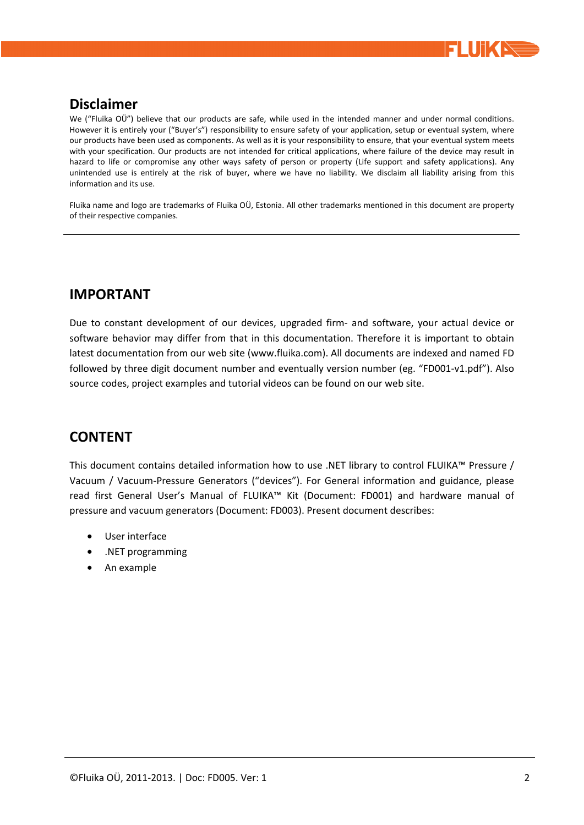

#### **Disclaimer**

We ("Fluika OÜ") believe that our products are safe, while used in the intended manner and under normal conditions. However it is entirely your ("Buyer's") responsibility to ensure safety of your application, setup or eventual system, where our products have been used as components. As well as it is your responsibility to ensure, that your eventual system meets with your specification. Our products are not intended for critical applications, where failure of the device may result in hazard to life or compromise any other ways safety of person or property (Life support and safety applications). Any unintended use is entirely at the risk of buyer, where we have no liability. We disclaim all liability arising from this information and its use.

Fluika name and logo are trademarks of Fluika OÜ, Estonia. All other trademarks mentioned in this document are property of their respective companies.

#### **IMPORTANT**

Due to constant development of our devices, upgraded firm- and software, your actual device or software behavior may differ from that in this documentation. Therefore it is important to obtain latest documentation from our web site (www.fluika.com). All documents are indexed and named FD followed by three digit document number and eventually version number (eg. "FD001-v1.pdf"). Also source codes, project examples and tutorial videos can be found on our web site.

### **CONTENT**

This document contains detailed information how to use .NET library to control FLUIKA™ Pressure / Vacuum / Vacuum-Pressure Generators ("devices"). For General information and guidance, please read first General User's Manual of FLUIKA™ Kit (Document: FD001) and hardware manual of pressure and vacuum generators (Document: FD003). Present document describes:

- User interface
- .NET programming
- An example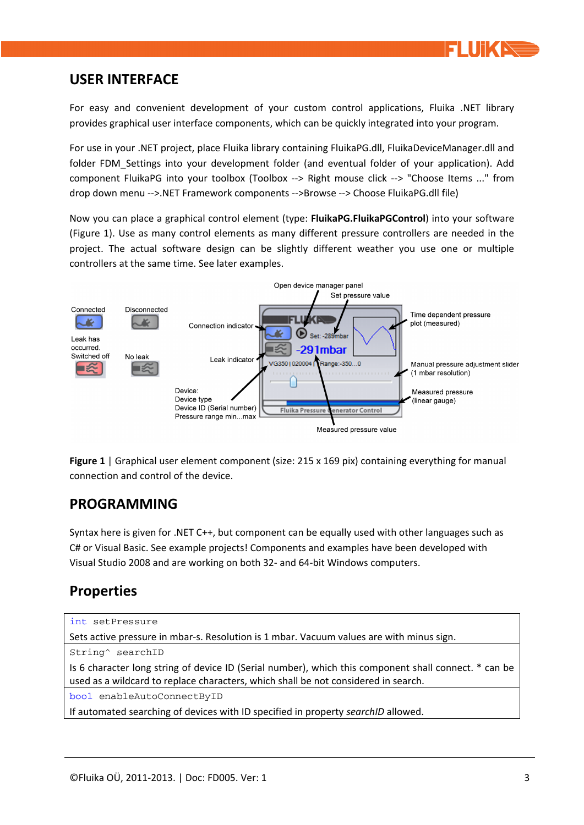

#### **USER INTERFACE**

For easy and convenient development of your custom control applications, Fluika .NET library provides graphical user interface components, which can be quickly integrated into your program.

For use in your .NET project, place Fluika library containing FluikaPG.dll, FluikaDeviceManager.dll and folder FDM Settings into your development folder (and eventual folder of your application). Add component FluikaPG into your toolbox (Toolbox --> Right mouse click --> "Choose Items ..." from drop down menu -->.NET Framework components -->Browse --> Choose FluikaPG.dll file)

Now you can place a graphical control element (type: **FluikaPG.FluikaPGControl**) into your software (Figure 1). Use as many control elements as many different pressure controllers are needed in the project. The actual software design can be slightly different weather you use one or multiple controllers at the same time. See later examples.



**Figure 1** | Graphical user element component (size: 215 x 169 pix) containing everything for manual connection and control of the device.

### **PROGRAMMING**

Syntax here is given for .NET C++, but component can be equally used with other languages such as C# or Visual Basic. See example projects! Components and examples have been developed with Visual Studio 2008 and are working on both 32- and 64-bit Windows computers.

## **Properties**

```
int setPressure 
Sets active pressure in mbar-s. Resolution is 1 mbar. Vacuum values are with minus sign. 
String^ searchID 
Is 6 character long string of device ID (Serial number), which this component shall connect. * can be 
used as a wildcard to replace characters, which shall be not considered in search. 
bool enableAutoConnectByID 
If automated searching of devices with ID specified in property searchID allowed.
```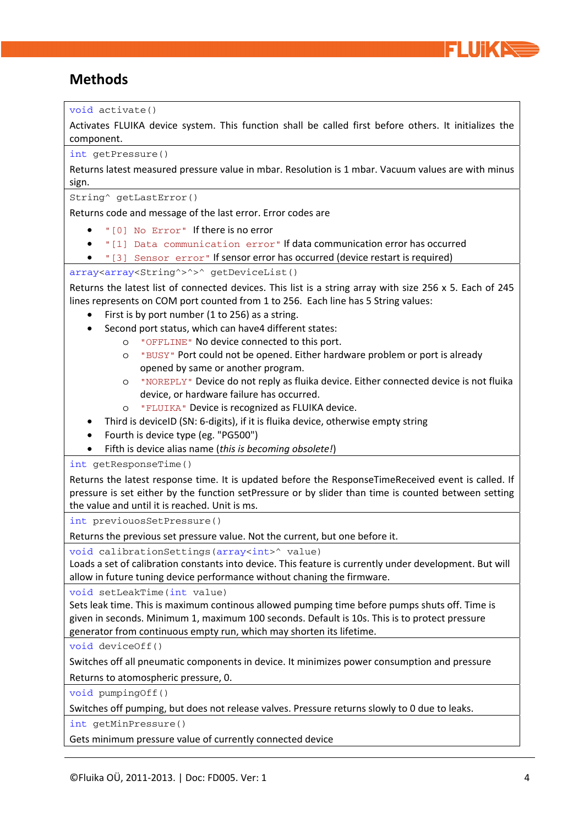

## **Methods**

void activate() Activates FLUIKA device system. This function shall be called first before others. It initializes the component. int getPressure() Returns latest measured pressure value in mbar. Resolution is 1 mbar. Vacuum values are with minus sign. String^ getLastError() Returns code and message of the last error. Error codes are "[0] No Error" If there is no error "[1] Data communication error" If data communication error has occurred "[3] Sensor error" If sensor error has occurred (device restart is required) array<array<String^>^>^ getDeviceList() Returns the latest list of connected devices. This list is a string array with size 256 x 5. Each of 245 lines represents on COM port counted from 1 to 256. Each line has 5 String values:  $\bullet$  First is by port number (1 to 256) as a string. Second port status, which can have4 different states: o "OFFLINE" No device connected to this port. o "BUSY" Port could not be opened. Either hardware problem or port is already opened by same or another program. o "NOREPLY" Device do not reply as fluika device. Either connected device is not fluika device, or hardware failure has occurred. o "FLUIKA" Device is recognized as FLUIKA device. Third is deviceID (SN: 6-digits), if it is fluika device, otherwise empty string Fourth is device type (eg. "PG500") Fifth is device alias name (*this is becoming obsolete!*) int getResponseTime() Returns the latest response time. It is updated before the ResponseTimeReceived event is called. If pressure is set either by the function setPressure or by slider than time is counted between setting the value and until it is reached. Unit is ms. int previouosSetPressure() Returns the previous set pressure value. Not the current, but one before it. void calibrationSettings(array<int>  $^{\circ}$  value) Loads a set of calibration constants into device. This feature is currently under development. But will allow in future tuning device performance without chaning the firmware. void setLeakTime(int value) Sets leak time. This is maximum continous allowed pumping time before pumps shuts off. Time is given in seconds. Minimum 1, maximum 100 seconds. Default is 10s. This is to protect pressure generator from continuous empty run, which may shorten its lifetime. void deviceOff() Switches off all pneumatic components in device. It minimizes power consumption and pressure Returns to atomospheric pressure, 0. void pumpingOff() Switches off pumping, but does not release valves. Pressure returns slowly to 0 due to leaks. int getMinPressure() Gets minimum pressure value of currently connected device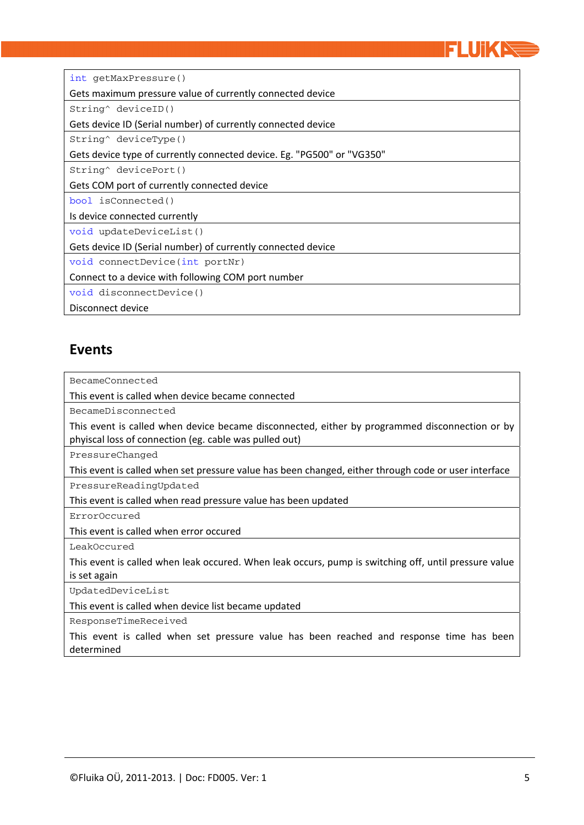

int getMaxPressure()

Gets maximum pressure value of currently connected device

String^ deviceID()

Gets device ID (Serial number) of currently connected device

String^ deviceType()

Gets device type of currently connected device. Eg. "PG500" or "VG350"

String^ devicePort()

Gets COM port of currently connected device

bool isConnected()

Is device connected currently

void updateDeviceList()

Gets device ID (Serial number) of currently connected device

void connectDevice(int portNr)

Connect to a device with following COM port number

void disconnectDevice()

Disconnect device

#### **Events**

BecameConnected

This event is called when device became connected

BecameDisconnected

This event is called when device became disconnected, either by programmed disconnection or by phyiscal loss of connection (eg. cable was pulled out)

PressureChanged

This event is called when set pressure value has been changed, either through code or user interface

PressureReadingUpdated

This event is called when read pressure value has been updated

ErrorOccured

This event is called when error occured

LeakOccured

This event is called when leak occured. When leak occurs, pump is switching off, until pressure value is set again

UpdatedDeviceList

This event is called when device list became updated

ResponseTimeReceived

This event is called when set pressure value has been reached and response time has been determined